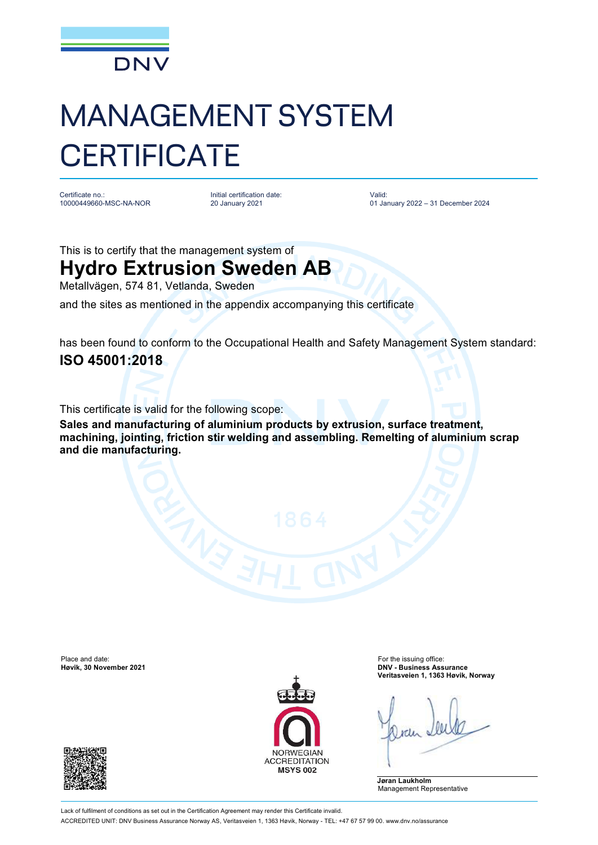

## MANAGEMENT SYSTEM **CERTIFICATE**

Certificate no.: 10000449660-MSC-NA-NOR Initial certification date: 20 January 2021

Valid: 01 January 2022 – 31 December 2024

This is to certify that the management system of

## **Hydro Extrusion Sweden AB**

Metallvägen, 574 81, Vetlanda, Sweden

and the sites as mentioned in the appendix accompanying this certificate

has been found to conform to the Occupational Health and Safety Management System standard: **ISO 45001:2018**

This certificate is valid for the following scope:

**Sales and manufacturing of aluminium products by extrusion, surface treatment, machining, jointing, friction stir welding and assembling. Remelting of aluminium scrap and die manufacturing.**

Place and date: For the issuing office:<br> **Place and date:** For the issuing office:<br> **Place and date:** For the issuing office:<br> **Place and date:** For the issuing office:





**Høvik, 30 November 2021 DNV - Business Assurance Veritasveien 1, 1363 Høvik, Norway**

**Jøran Laukholm** Management Representative